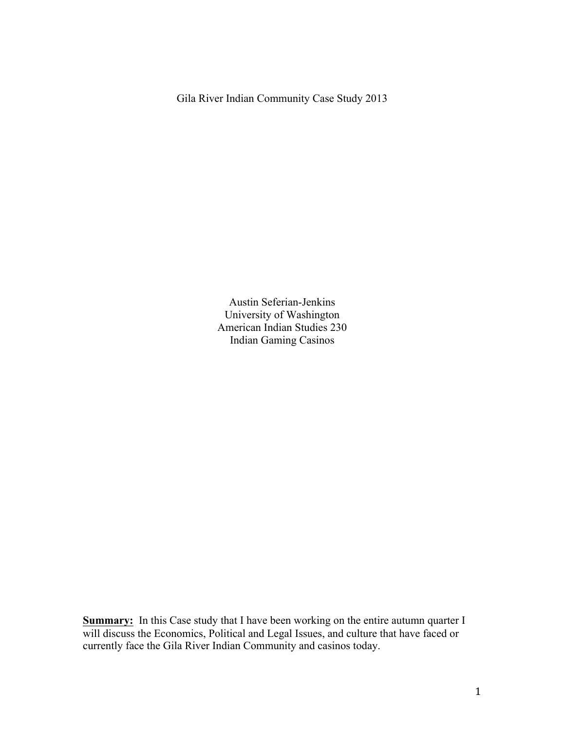Gila River Indian Community Case Study 2013

Austin Seferian-Jenkins University of Washington American Indian Studies 230 Indian Gaming Casinos

**Summary:** In this Case study that I have been working on the entire autumn quarter I will discuss the Economics, Political and Legal Issues, and culture that have faced or currently face the Gila River Indian Community and casinos today.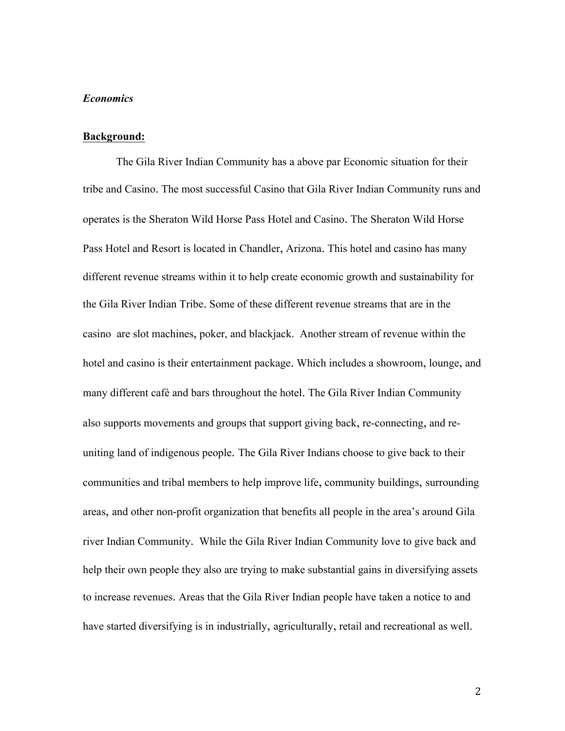## *Economics*

#### **Background:**

The Gila River Indian Community has a above par Economic situation for their tribe and Casino. The most successful Casino that Gila River Indian Community runs and operates is the Sheraton Wild Horse Pass Hotel and Casino. The Sheraton Wild Horse Pass Hotel and Resort is located in Chandler, Arizona. This hotel and casino has many different revenue streams within it to help create economic growth and sustainability for the Gila River Indian Tribe. Some of these different revenue streams that are in the casino are slot machines, poker, and blackjack. Another stream of revenue within the hotel and casino is their entertainment package. Which includes a showroom, lounge, and many different café and bars throughout the hotel. The Gila River Indian Community also supports movements and groups that support giving back, re-connecting, and reuniting land of indigenous people. The Gila River Indians choose to give back to their communities and tribal members to help improve life, community buildings, surrounding areas, and other non-profit organization that benefits all people in the area's around Gila river Indian Community. While the Gila River Indian Community love to give back and help their own people they also are trying to make substantial gains in diversifying assets to increase revenues. Areas that the Gila River Indian people have taken a notice to and have started diversifying is in industrially, agriculturally, retail and recreational as well.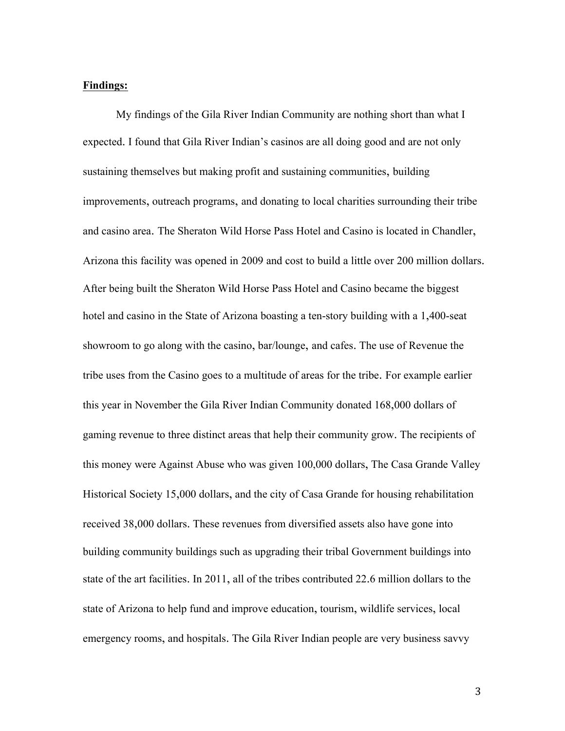#### **Findings:**

My findings of the Gila River Indian Community are nothing short than what I expected. I found that Gila River Indian's casinos are all doing good and are not only sustaining themselves but making profit and sustaining communities, building improvements, outreach programs, and donating to local charities surrounding their tribe and casino area. The Sheraton Wild Horse Pass Hotel and Casino is located in Chandler, Arizona this facility was opened in 2009 and cost to build a little over 200 million dollars. After being built the Sheraton Wild Horse Pass Hotel and Casino became the biggest hotel and casino in the State of Arizona boasting a ten-story building with a 1,400-seat showroom to go along with the casino, bar/lounge, and cafes. The use of Revenue the tribe uses from the Casino goes to a multitude of areas for the tribe. For example earlier this year in November the Gila River Indian Community donated 168,000 dollars of gaming revenue to three distinct areas that help their community grow. The recipients of this money were Against Abuse who was given 100,000 dollars, The Casa Grande Valley Historical Society 15,000 dollars, and the city of Casa Grande for housing rehabilitation received 38,000 dollars. These revenues from diversified assets also have gone into building community buildings such as upgrading their tribal Government buildings into state of the art facilities. In 2011, all of the tribes contributed 22.6 million dollars to the state of Arizona to help fund and improve education, tourism, wildlife services, local emergency rooms, and hospitals. The Gila River Indian people are very business savvy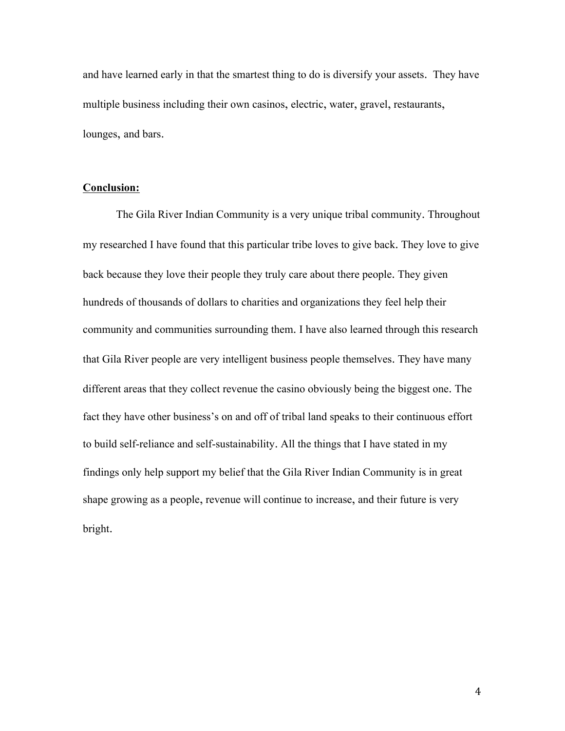and have learned early in that the smartest thing to do is diversify your assets. They have multiple business including their own casinos, electric, water, gravel, restaurants, lounges, and bars.

## **Conclusion:**

The Gila River Indian Community is a very unique tribal community. Throughout my researched I have found that this particular tribe loves to give back. They love to give back because they love their people they truly care about there people. They given hundreds of thousands of dollars to charities and organizations they feel help their community and communities surrounding them. I have also learned through this research that Gila River people are very intelligent business people themselves. They have many different areas that they collect revenue the casino obviously being the biggest one. The fact they have other business's on and off of tribal land speaks to their continuous effort to build self-reliance and self-sustainability. All the things that I have stated in my findings only help support my belief that the Gila River Indian Community is in great shape growing as a people, revenue will continue to increase, and their future is very bright.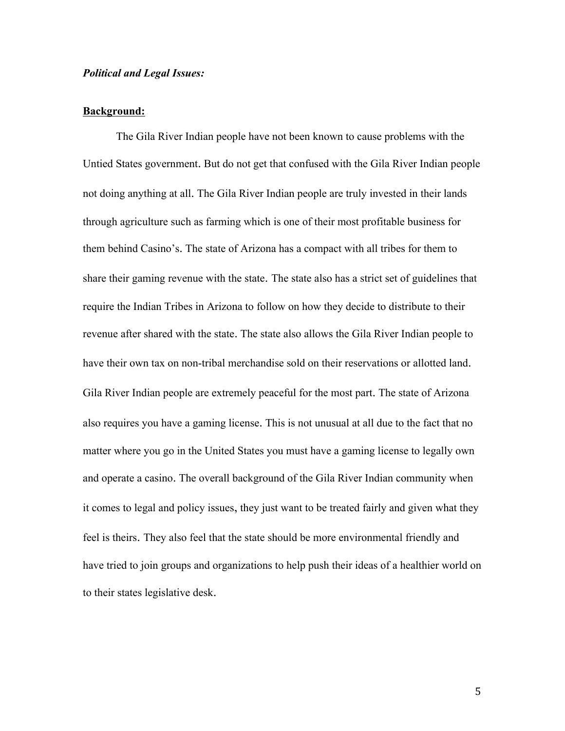### *Political and Legal Issues:*

## **Background:**

The Gila River Indian people have not been known to cause problems with the Untied States government. But do not get that confused with the Gila River Indian people not doing anything at all. The Gila River Indian people are truly invested in their lands through agriculture such as farming which is one of their most profitable business for them behind Casino's. The state of Arizona has a compact with all tribes for them to share their gaming revenue with the state. The state also has a strict set of guidelines that require the Indian Tribes in Arizona to follow on how they decide to distribute to their revenue after shared with the state. The state also allows the Gila River Indian people to have their own tax on non-tribal merchandise sold on their reservations or allotted land. Gila River Indian people are extremely peaceful for the most part. The state of Arizona also requires you have a gaming license. This is not unusual at all due to the fact that no matter where you go in the United States you must have a gaming license to legally own and operate a casino. The overall background of the Gila River Indian community when it comes to legal and policy issues, they just want to be treated fairly and given what they feel is theirs. They also feel that the state should be more environmental friendly and have tried to join groups and organizations to help push their ideas of a healthier world on to their states legislative desk.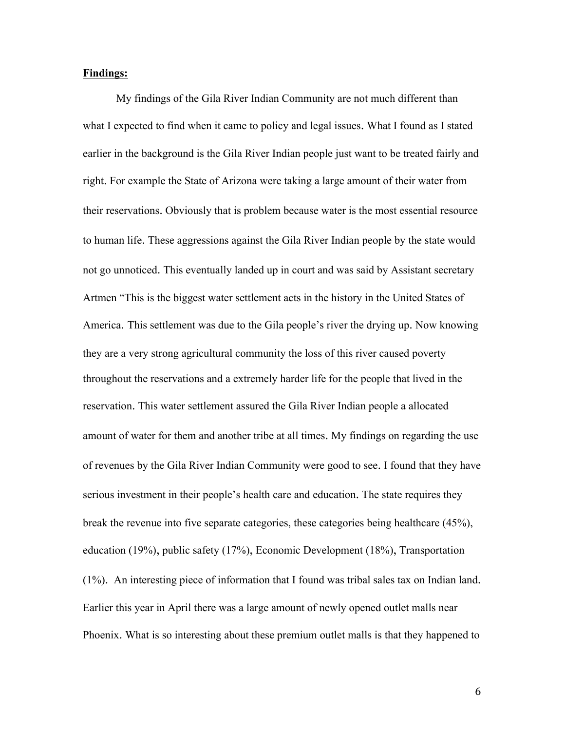## **Findings:**

My findings of the Gila River Indian Community are not much different than what I expected to find when it came to policy and legal issues. What I found as I stated earlier in the background is the Gila River Indian people just want to be treated fairly and right. For example the State of Arizona were taking a large amount of their water from their reservations. Obviously that is problem because water is the most essential resource to human life. These aggressions against the Gila River Indian people by the state would not go unnoticed. This eventually landed up in court and was said by Assistant secretary Artmen "This is the biggest water settlement acts in the history in the United States of America. This settlement was due to the Gila people's river the drying up. Now knowing they are a very strong agricultural community the loss of this river caused poverty throughout the reservations and a extremely harder life for the people that lived in the reservation. This water settlement assured the Gila River Indian people a allocated amount of water for them and another tribe at all times. My findings on regarding the use of revenues by the Gila River Indian Community were good to see. I found that they have serious investment in their people's health care and education. The state requires they break the revenue into five separate categories, these categories being healthcare (45%), education (19%), public safety (17%), Economic Development (18%), Transportation (1%). An interesting piece of information that I found was tribal sales tax on Indian land. Earlier this year in April there was a large amount of newly opened outlet malls near Phoenix. What is so interesting about these premium outlet malls is that they happened to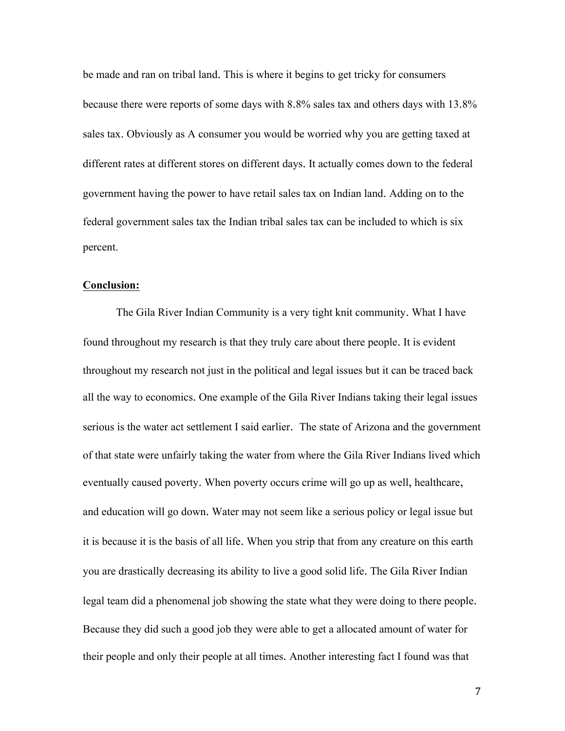be made and ran on tribal land. This is where it begins to get tricky for consumers because there were reports of some days with 8.8% sales tax and others days with 13.8% sales tax. Obviously as A consumer you would be worried why you are getting taxed at different rates at different stores on different days. It actually comes down to the federal government having the power to have retail sales tax on Indian land. Adding on to the federal government sales tax the Indian tribal sales tax can be included to which is six percent.

#### **Conclusion:**

The Gila River Indian Community is a very tight knit community. What I have found throughout my research is that they truly care about there people. It is evident throughout my research not just in the political and legal issues but it can be traced back all the way to economics. One example of the Gila River Indians taking their legal issues serious is the water act settlement I said earlier. The state of Arizona and the government of that state were unfairly taking the water from where the Gila River Indians lived which eventually caused poverty. When poverty occurs crime will go up as well, healthcare, and education will go down. Water may not seem like a serious policy or legal issue but it is because it is the basis of all life. When you strip that from any creature on this earth you are drastically decreasing its ability to live a good solid life. The Gila River Indian legal team did a phenomenal job showing the state what they were doing to there people. Because they did such a good job they were able to get a allocated amount of water for their people and only their people at all times. Another interesting fact I found was that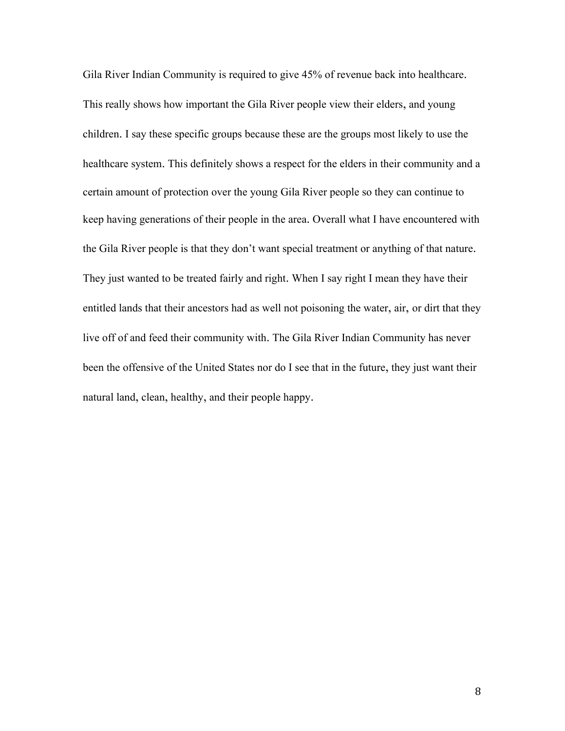Gila River Indian Community is required to give 45% of revenue back into healthcare. This really shows how important the Gila River people view their elders, and young children. I say these specific groups because these are the groups most likely to use the healthcare system. This definitely shows a respect for the elders in their community and a certain amount of protection over the young Gila River people so they can continue to keep having generations of their people in the area. Overall what I have encountered with the Gila River people is that they don't want special treatment or anything of that nature. They just wanted to be treated fairly and right. When I say right I mean they have their entitled lands that their ancestors had as well not poisoning the water, air, or dirt that they live off of and feed their community with. The Gila River Indian Community has never been the offensive of the United States nor do I see that in the future, they just want their natural land, clean, healthy, and their people happy.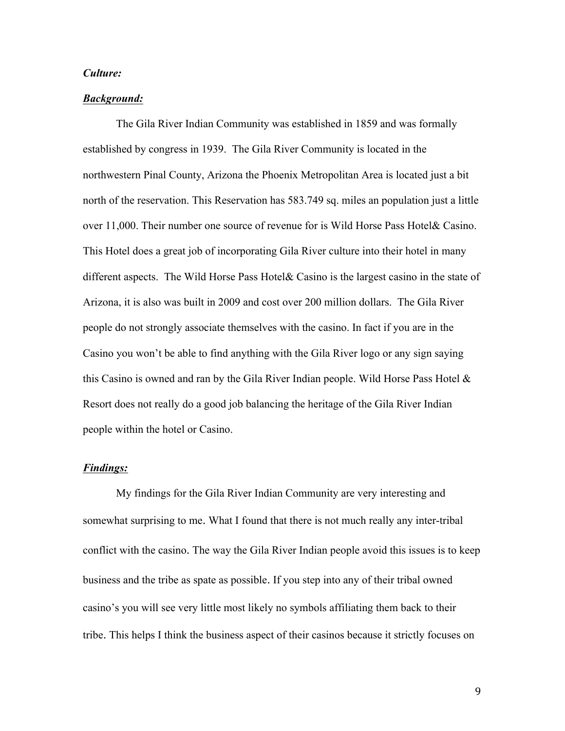#### *Culture:*

#### *Background:*

The Gila River Indian Community was established in 1859 and was formally established by congress in 1939. The Gila River Community is located in the northwestern Pinal County, Arizona the Phoenix Metropolitan Area is located just a bit north of the reservation. This Reservation has 583.749 sq. miles an population just a little over 11,000. Their number one source of revenue for is Wild Horse Pass Hotel& Casino. This Hotel does a great job of incorporating Gila River culture into their hotel in many different aspects. The Wild Horse Pass Hotel& Casino is the largest casino in the state of Arizona, it is also was built in 2009 and cost over 200 million dollars. The Gila River people do not strongly associate themselves with the casino. In fact if you are in the Casino you won't be able to find anything with the Gila River logo or any sign saying this Casino is owned and ran by the Gila River Indian people. Wild Horse Pass Hotel & Resort does not really do a good job balancing the heritage of the Gila River Indian people within the hotel or Casino.

## *Findings:*

My findings for the Gila River Indian Community are very interesting and somewhat surprising to me. What I found that there is not much really any inter-tribal conflict with the casino. The way the Gila River Indian people avoid this issues is to keep business and the tribe as spate as possible. If you step into any of their tribal owned casino's you will see very little most likely no symbols affiliating them back to their tribe. This helps I think the business aspect of their casinos because it strictly focuses on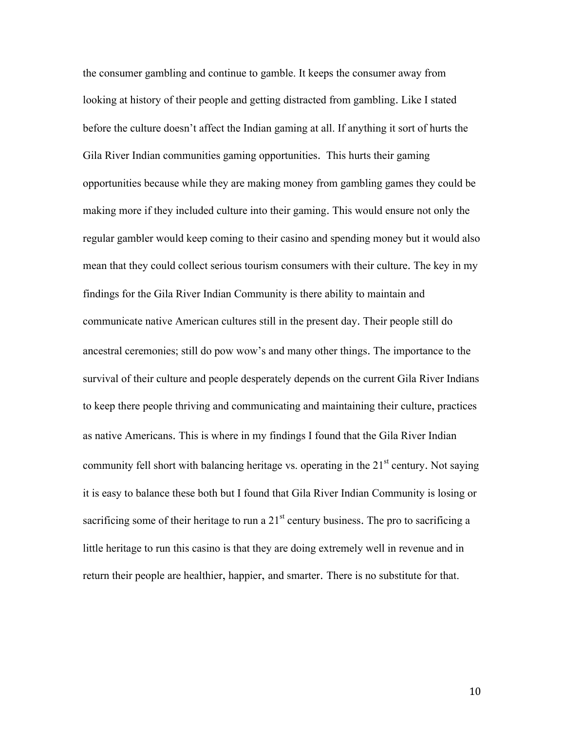the consumer gambling and continue to gamble. It keeps the consumer away from looking at history of their people and getting distracted from gambling. Like I stated before the culture doesn't affect the Indian gaming at all. If anything it sort of hurts the Gila River Indian communities gaming opportunities. This hurts their gaming opportunities because while they are making money from gambling games they could be making more if they included culture into their gaming. This would ensure not only the regular gambler would keep coming to their casino and spending money but it would also mean that they could collect serious tourism consumers with their culture. The key in my findings for the Gila River Indian Community is there ability to maintain and communicate native American cultures still in the present day. Their people still do ancestral ceremonies; still do pow wow's and many other things. The importance to the survival of their culture and people desperately depends on the current Gila River Indians to keep there people thriving and communicating and maintaining their culture, practices as native Americans. This is where in my findings I found that the Gila River Indian community fell short with balancing heritage vs. operating in the  $21<sup>st</sup>$  century. Not saying it is easy to balance these both but I found that Gila River Indian Community is losing or sacrificing some of their heritage to run a  $21<sup>st</sup>$  century business. The pro to sacrificing a little heritage to run this casino is that they are doing extremely well in revenue and in return their people are healthier, happier, and smarter. There is no substitute for that.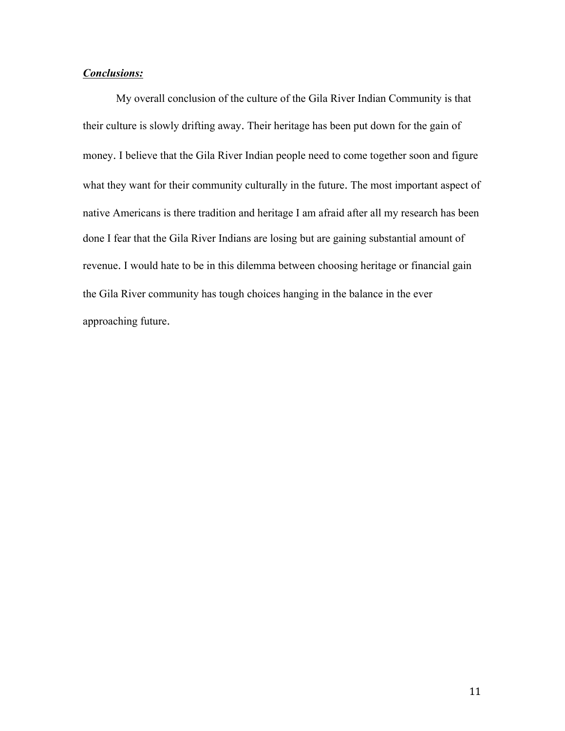## *Conclusions:*

My overall conclusion of the culture of the Gila River Indian Community is that their culture is slowly drifting away. Their heritage has been put down for the gain of money. I believe that the Gila River Indian people need to come together soon and figure what they want for their community culturally in the future. The most important aspect of native Americans is there tradition and heritage I am afraid after all my research has been done I fear that the Gila River Indians are losing but are gaining substantial amount of revenue. I would hate to be in this dilemma between choosing heritage or financial gain the Gila River community has tough choices hanging in the balance in the ever approaching future.